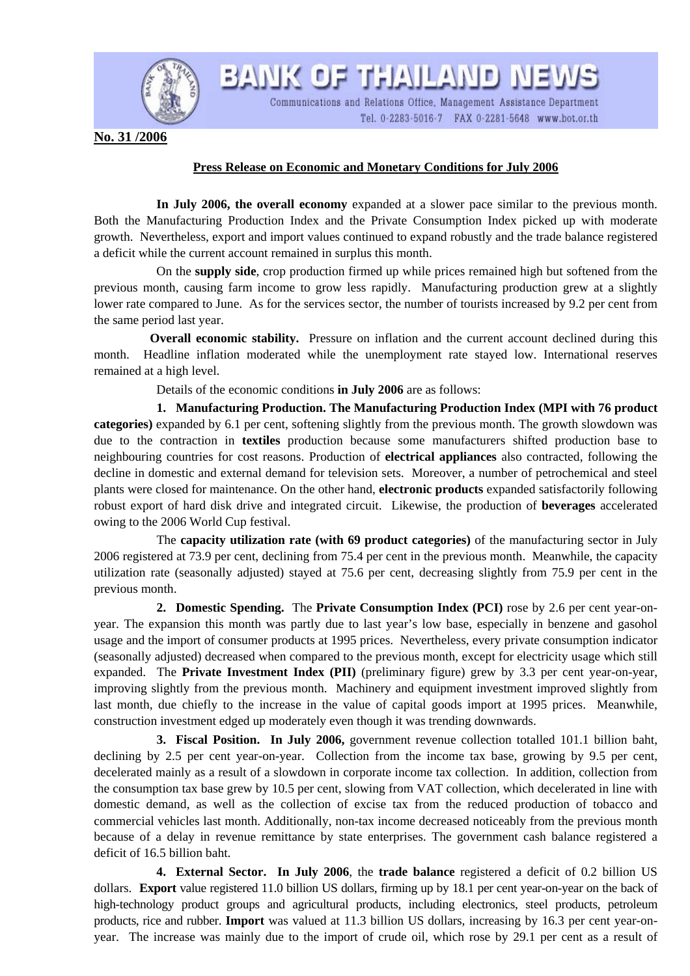

BANK OF THAILAND NEWS

Communications and Relations Office, Management Assistance Department Tel. 0-2283-5016-7 FAX 0-2281-5648 www.bot.or.th

**No. 31 /2006**

## **Press Release on Economic and Monetary Conditions for July 2006**

 **In July 2006, the overall economy** expanded at a slower pace similar to the previous month. Both the Manufacturing Production Index and the Private Consumption Index picked up with moderate growth. Nevertheless, export and import values continued to expand robustly and the trade balance registered a deficit while the current account remained in surplus this month.

 On the **supply side**, crop production firmed up while prices remained high but softened from the previous month, causing farm income to grow less rapidly. Manufacturing production grew at a slightly lower rate compared to June. As for the services sector, the number of tourists increased by 9.2 per cent from the same period last year.

**Overall economic stability.** Pressure on inflation and the current account declined during this month. Headline inflation moderated while the unemployment rate stayed low. International reserves remained at a high level.

Details of the economic conditions **in July 2006** are as follows:

 **1. Manufacturing Production. The Manufacturing Production Index (MPI with 76 product categories)** expanded by 6.1 per cent, softening slightly from the previous month. The growth slowdown was due to the contraction in **textiles** production because some manufacturers shifted production base to neighbouring countries for cost reasons. Production of **electrical appliances** also contracted, following the decline in domestic and external demand for television sets. Moreover, a number of petrochemical and steel plants were closed for maintenance. On the other hand, **electronic products** expanded satisfactorily following robust export of hard disk drive and integrated circuit. Likewise, the production of **beverages** accelerated owing to the 2006 World Cup festival.

 The **capacity utilization rate (with 69 product categories)** of the manufacturing sector in July 2006 registered at 73.9 per cent, declining from 75.4 per cent in the previous month. Meanwhile, the capacity utilization rate (seasonally adjusted) stayed at 75.6 per cent, decreasing slightly from 75.9 per cent in the previous month.

**2. Domestic Spending.** The **Private Consumption Index (PCI)** rose by 2.6 per cent year-onyear. The expansion this month was partly due to last year's low base, especially in benzene and gasohol usage and the import of consumer products at 1995 prices. Nevertheless, every private consumption indicator (seasonally adjusted) decreased when compared to the previous month, except for electricity usage which still expanded. The **Private Investment Index (PII)** (preliminary figure) grew by 3.3 per cent year-on-year, improving slightly from the previous month. Machinery and equipment investment improved slightly from last month, due chiefly to the increase in the value of capital goods import at 1995 prices. Meanwhile, construction investment edged up moderately even though it was trending downwards.

**3. Fiscal Position. In July 2006,** government revenue collection totalled 101.1 billion baht, declining by 2.5 per cent year-on-year. Collection from the income tax base, growing by 9.5 per cent, decelerated mainly as a result of a slowdown in corporate income tax collection. In addition, collection from the consumption tax base grew by 10.5 per cent, slowing from VAT collection, which decelerated in line with domestic demand, as well as the collection of excise tax from the reduced production of tobacco and commercial vehicles last month. Additionally, non-tax income decreased noticeably from the previous month because of a delay in revenue remittance by state enterprises. The government cash balance registered a deficit of 16.5 billion baht.

 **4. External Sector. In July 2006**, the **trade balance** registered a deficit of 0.2 billion US dollars. **Export** value registered 11.0 billion US dollars, firming up by 18.1 per cent year-on-year on the back of high-technology product groups and agricultural products, including electronics, steel products, petroleum products, rice and rubber. **Import** was valued at 11.3 billion US dollars, increasing by 16.3 per cent year-onyear. The increase was mainly due to the import of crude oil, which rose by 29.1 per cent as a result of